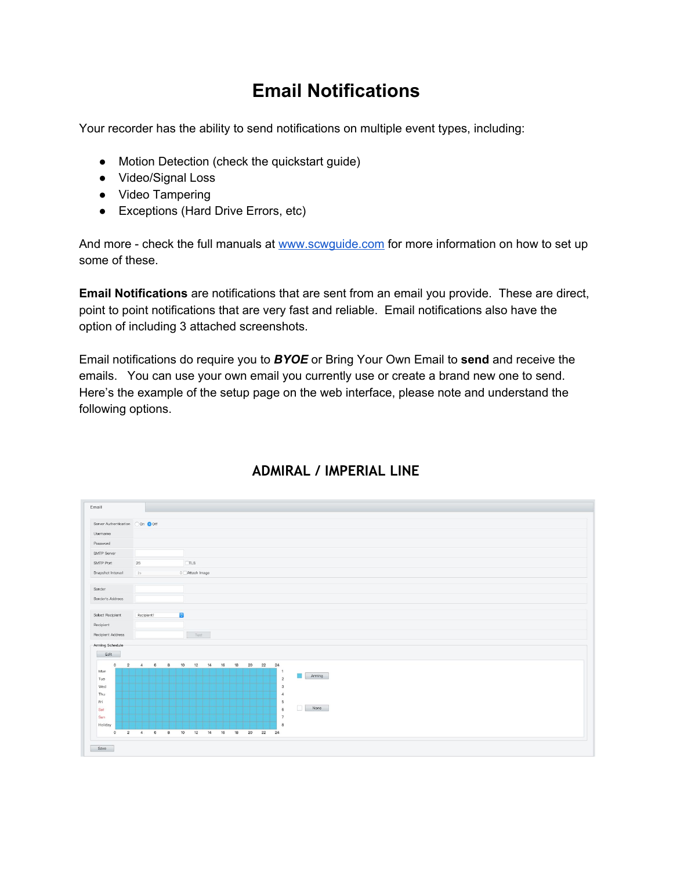## **Email Notifications**

Your recorder has the ability to send notifications on multiple event types, including:

- Motion Detection (check the quickstart guide)
- Video/Signal Loss
- Video Tampering
- Exceptions (Hard Drive Errors, etc)

And more - check the full manuals at [www.scwguide.com](http://www.scwguide.com/) for more information on how to set up some of these.

**Email Notifications** are notifications that are sent from an email you provide. These are direct, point to point notifications that are very fast and reliable. Email notifications also have the option of including 3 attached screenshots.

Email notifications do require you to *BYOE* or Bring Your Own Email to **send** and receive the emails. You can use your own email you currently use or create a brand new one to send. Here's the example of the setup page on the web interface, please note and understand the following options.



## **ADMIRAL / IMPERIAL LINE**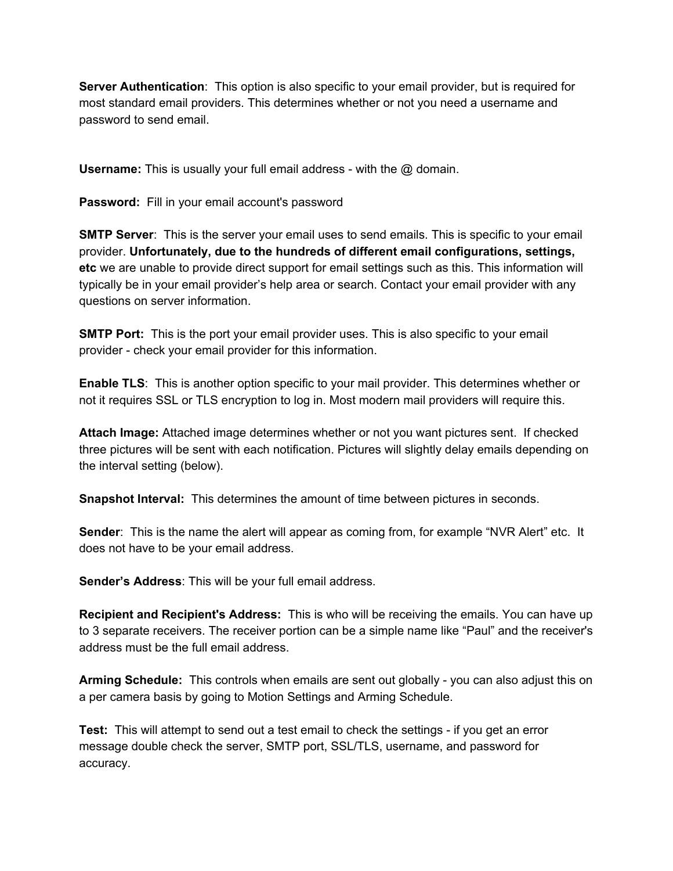**Server Authentication**: This option is also specific to your email provider, but is required for most standard email providers. This determines whether or not you need a username and password to send email.

**Username:** This is usually your full email address - with the @ domain.

Password: Fill in your email account's password

**SMTP Server**: This is the server your email uses to send emails. This is specific to your email provider. **Unfortunately, due to the hundreds of different email configurations, settings, etc** we are unable to provide direct support for email settings such as this. This information will typically be in your email provider's help area or search. Contact your email provider with any questions on server information.

**SMTP Port:** This is the port your email provider uses. This is also specific to your email provider - check your email provider for this information.

**Enable TLS**: This is another option specific to your mail provider. This determines whether or not it requires SSL or TLS encryption to log in. Most modern mail providers will require this.

**Attach Image:** Attached image determines whether or not you want pictures sent. If checked three pictures will be sent with each notification. Pictures will slightly delay emails depending on the interval setting (below).

**Snapshot Interval:** This determines the amount of time between pictures in seconds.

**Sender**: This is the name the alert will appear as coming from, for example "NVR Alert" etc. It does not have to be your email address.

**Sender's Address**: This will be your full email address.

**Recipient and Recipient's Address:** This is who will be receiving the emails. You can have up to 3 separate receivers. The receiver portion can be a simple name like "Paul" and the receiver's address must be the full email address.

**Arming Schedule:** This controls when emails are sent out globally - you can also adjust this on a per camera basis by going to Motion Settings and Arming Schedule.

**Test:** This will attempt to send out a test email to check the settings - if you get an error message double check the server, SMTP port, SSL/TLS, username, and password for accuracy.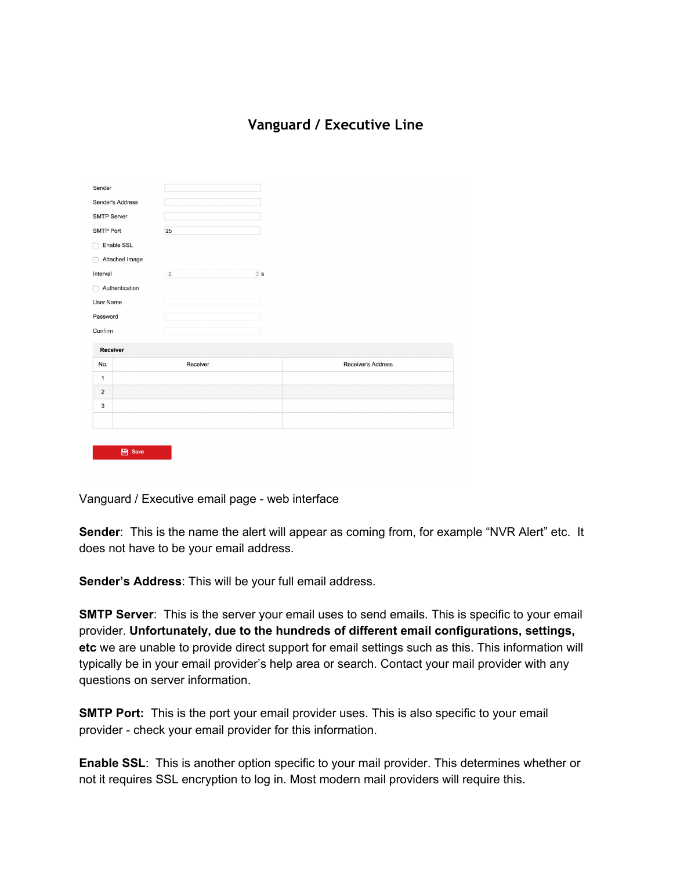## **Vanguard / Executive Line**

| Sender              |  |                |                                      |                    |
|---------------------|--|----------------|--------------------------------------|--------------------|
| Sender's Address    |  |                |                                      |                    |
| <b>SMTP Server</b>  |  |                |                                      |                    |
| SMTP Port           |  | 25             |                                      |                    |
| Enable SSL<br>∩     |  |                |                                      |                    |
| Attached Image<br>n |  |                |                                      |                    |
| Interval            |  | $\overline{2}$ | $\hat{\mathbin{\scriptstyle\vee}}$ s |                    |
| Authentication<br>∩ |  |                |                                      |                    |
| User Name           |  |                |                                      |                    |
| Password            |  |                |                                      |                    |
| Confirm             |  |                |                                      |                    |
| Receiver            |  |                |                                      |                    |
| No.                 |  | Receiver       |                                      | Receiver's Address |
| $\mathbf{1}$        |  |                |                                      |                    |
| $\overline{2}$      |  |                |                                      |                    |
| 3                   |  |                |                                      |                    |
|                     |  |                |                                      |                    |
|                     |  |                |                                      |                    |

Vanguard / Executive email page - web interface

 $\qquad \qquad \blacksquare$  Save

**Sender**: This is the name the alert will appear as coming from, for example "NVR Alert" etc. It does not have to be your email address.

**Sender's Address**: This will be your full email address.

**SMTP Server**: This is the server your email uses to send emails. This is specific to your email provider. **Unfortunately, due to the hundreds of different email configurations, settings, etc** we are unable to provide direct support for email settings such as this. This information will typically be in your email provider's help area or search. Contact your mail provider with any questions on server information.

**SMTP Port:** This is the port your email provider uses. This is also specific to your email provider - check your email provider for this information.

**Enable SSL**: This is another option specific to your mail provider. This determines whether or not it requires SSL encryption to log in. Most modern mail providers will require this.